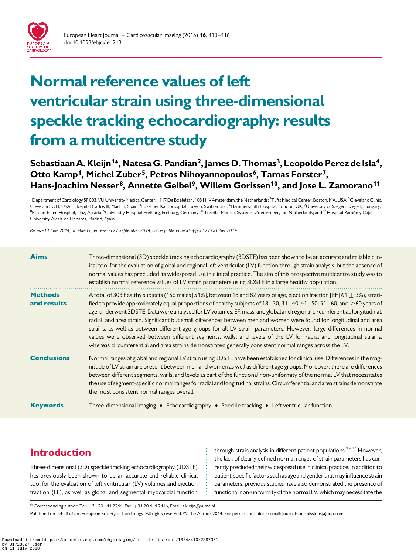

# Normal reference values of left ventricular strain using three-dimensional speckle tracking echocardiography: results from a multicentre study

# Sebastiaan A. Kleijn<sup>1\*</sup>, Natesa G. Pandian<sup>2</sup>, James D. Thomas<sup>3</sup>, Leopoldo Perez de Isla<sup>4</sup>, Otto Kamp<sup>1</sup>, Michel Zuber<sup>5</sup>, Petros Nihoyannopoulos<sup>6</sup>, Tamas Forster<sup>7</sup>, Hans-Joachim Nesser<sup>8</sup>, Annette Geibel<sup>9</sup>, Willem Gorissen<sup>10</sup>, and Jose L. Zamorano<sup>11</sup>

<sup>1</sup>Department of Cardiology 5F 003, VU University Medical Center, 1117 De Boelelaan, 1081 HV Amsterdam, the Netherlands; <sup>2</sup>Tufts Medical Center, Boston, MA, USA; <sup>3</sup>Cleveland Clinic, Cleveland, OH, USA; <sup>4</sup>Hospital Carlos III, Madrid, Spain; <sup>5</sup>Luzerner Kantonsspital, Luzern, Switzerland; <sup>6</sup>Hammersmith Hospital, London, UK; <sup>7</sup>University of Szeged, Szeged, Hungary; <sup>8</sup>Elisabethinen Hospital, Linz, Austria; <sup>9</sup>University Hospital Freiburg, Freiburg, Germany; <sup>10</sup>Toshiba Medical Systems, Zoetermeer, the Netherlands; and <sup>11</sup>Hospital Ramón y Cajal University Alcala de Henares, Madrid, Spain

Received 1 June 2014; accepted after revision 27 September 2014; online publish-ahead-of-print 27 October 2014

| <b>Aims</b>                   | Three-dimensional (3D) speckle tracking echocardiography (3DSTE) has been shown to be an accurate and reliable clin-<br>ical tool for the evaluation of global and regional left ventricular (LV) function through strain analysis, but the absence of<br>normal values has precluded its widespread use in clinical practice. The aim of this prospective multicentre study was to<br>establish normal reference values of LV strain parameters using 3DSTE in a large healthy population.                                                                                                                                                                                                                                                                                                                                                                        |
|-------------------------------|--------------------------------------------------------------------------------------------------------------------------------------------------------------------------------------------------------------------------------------------------------------------------------------------------------------------------------------------------------------------------------------------------------------------------------------------------------------------------------------------------------------------------------------------------------------------------------------------------------------------------------------------------------------------------------------------------------------------------------------------------------------------------------------------------------------------------------------------------------------------|
| <b>Methods</b><br>and results | A total of 303 healthy subjects (156 males [51%], between 18 and 82 years of age, ejection fraction [EF] 61 $\pm$ 3%), strati-<br>fied to provide approximately equal proportions of healthy subjects of 18-30, 31-40, 41-50, 51-60, and >60 years of<br>age, underwent 3DSTE. Data were analysed for LV volumes, EF, mass, and global and regional circumferential, longitudinal,<br>radial, and area strain. Significant but small differences between men and women were found for longitudinal and area<br>strains, as well as between different age groups for all LV strain parameters. However, large differences in normal<br>values were observed between different segments, walls, and levels of the LV for radial and longitudinal strains,<br>whereas circumferential and area strains demonstrated generally consistent normal ranges across the LV. |
| <b>Conclusions</b>            | Normal ranges of global and regional LV strain using 3DSTE have been established for clinical use. Differences in the mag-<br>nitude of LV strain are present between men and women as well as different age groups. Moreover, there are differences<br>between different segments, walls, and levels as part of the functional non-uniformity of the normal LV that necessitates<br>the use of segment-specific normal ranges for radial and longitudinal strains. Circumferential and area strains demonstrate<br>the most consistent normal ranges overall.                                                                                                                                                                                                                                                                                                     |
| <b>Keywords</b>               | Three-dimensional imaging • Echocardiography • Speckle tracking • Left ventricular function                                                                                                                                                                                                                                                                                                                                                                                                                                                                                                                                                                                                                                                                                                                                                                        |

# Introduction

Three-dimensional (3D) speckle tracking echocardiography (3DSTE) has previously been shown to be an accurate and reliable clinical tool for the evaluation of left ventricular (LV) volumes and ejection fraction (EF), as well as global and segmental myocardial function through strain analysis in different patient populations.<sup>1–[12](#page-6-0)</sup> However, the lack of clearly defined normal ranges of strain parameters has currently precluded their widespread use in clinical practice. In addition to patient-specific factors such as age and gender that may influence strain parameters, previous studies have also demonstrated the presence of functional non-uniformity of the normal LV, which may necessitate the

 $*$  Corresponding author. Tel:  $+31$  20 444 2244; Fax:  $+31$  20 444 2446, Email: s.kleijn@vumc.nl

Published on behalf of the European Society of Cardiology. All rights reserved. © The Author 2014. For permissions please email: journals.permissions@oup.com.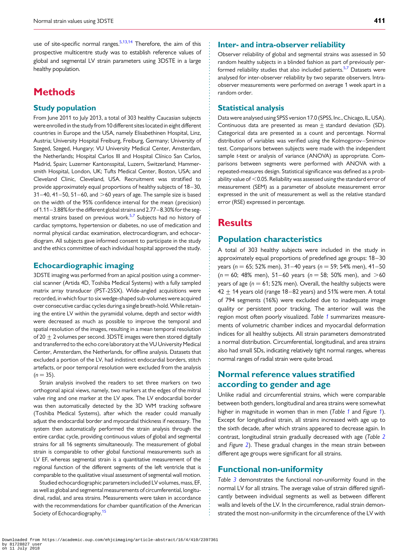use of site-specific normal ranges.<sup>5[,13,14](#page-6-0)</sup> Therefore, the aim of this prospective multicentre study was to establish reference values of global and segmental LV strain parameters using 3DSTE in a large healthy population.

# **Methods**

#### Study population

From June 2011 to July 2013, a total of 303 healthy Caucasian subjects were enrolled in the study from10 different sites located in eight different countries in Europe and the USA, namely Elisabethinen Hospital, Linz, Austria; University Hospital Freiburg, Freiburg, Germany; University of Szeged, Szeged, Hungary; VU University Medical Center, Amsterdam, the Netherlands; Hospital Carlos III and Hospital Clínico San Carlos, Madrid, Spain; Luzerner Kantonsspital, Luzern, Switzerland; Hammersmith Hospital, London, UK; Tufts Medical Center, Boston, USA; and Cleveland Clinic, Cleveland, USA. Recruitment was stratified to provide approximately equal proportions of healthy subjects of 18–30,  $31-40$ ,  $41-50$ ,  $51-60$ , and  $>60$  years of age. The sample size is based on the width of the 95% confidence interval for the mean (precision) of 1.11–3.88% for the differentglobal strainsand 2.77–8.30% for the seg-mental strains based on previous work.<sup>[5,](#page-5-0)[7](#page-6-0)</sup> Subjects had no history of cardiac symptoms, hypertension or diabetes, no use of medication and normal physical cardiac examination, electrocardiogram, and echocardiogram. All subjects gave informed consent to participate in the study and the ethics committee of each individual hospital approved the study.

#### Echocardiographic imaging

3DSTE imaging was performed from an apical position using a commercial scanner (Artida 4D, Toshiba Medical Systems) with a fully sampled matrix array transducer (PST-25SX). Wide-angled acquisitions were recorded, in which four to six wedge-shaped sub-volumes were acquired over consecutive cardiac cycles during a single breath-hold. While retaining the entire LV within the pyramidal volume, depth and sector width were decreased as much as possible to improve the temporal and spatial resolution of the images, resulting in a mean temporal resolution of 20  $\pm$  2 volumes per second. 3DSTE images were then stored digitally and transferred to the echo core laboratory at the VU University Medical Center, Amsterdam, the Netherlands, for offline analysis. Datasets that excluded a portion of the LV, had indistinct endocardial borders, stitch artefacts, or poor temporal resolution were excluded from the analysis  $(n = 35)$ .

Strain analysis involved the readers to set three markers on two orthogonal apical views, namely, two markers at the edges of the mitral valve ring and one marker at the LV apex. The LV endocardial border was then automatically detected by the 3D WM tracking software (Toshiba Medical Systems), after which the reader could manually adjust the endocardial border and myocardial thickness if necessary. The system then automatically performed the strain analysis through the entire cardiac cycle, providing continuous values of global and segmental strains for all 16 segments simultaneously. The measurement of global strain is comparable to other global functional measurements such as LV EF, whereas segmental strain is a quantitative measurement of the regional function of the different segments of the left ventricle that is comparable to the qualitative visual assessment of segmental wall motion.

Studied echocardiographic parameters included LV volumes, mass, EF, as well as global and segmental measurements of circumferential, longitudinal, radial, and area strains. Measurements were taken in accordance with the recommendations for chamber quantification of the American Society of Echocardiography.<sup>[15](#page-6-0)</sup>

#### Inter- and intra-observer reliability

Observer reliability of global and segmental strains was assessed in 50 random healthy subjects in a blinded fashion as part of previously per-formed reliability studies that also included patients.<sup>[5](#page-5-0)[,7](#page-6-0)</sup> Datasets were analysed for inter-observer reliability by two separate observers. Intraobserver measurements were performed on average 1 week apart in a random order.

#### Statistical analysis

Data were analysed using SPSS version 17.0 (SPSS, Inc., Chicago, IL, USA). Continuous data are presented as mean  $\pm$  standard deviation (SD). Categorical data are presented as a count and percentage. Normal distribution of variables was verified using the Kolmogorov–Smirnov test. Comparisons between subjects were made with the independent sample t-test or analysis of variance (ANOVA) as appropriate. Comparisons between segments were performed with ANOVA with a repeated-measures design. Statistical significance was defined as a probability value of  $<$  0.05. Reliability was assessed using the standard error of measurement (SEM) as a parameter of absolute measurement error expressed in the unit of measurement as well as the relative standard error (RSE) expressed in percentage.

# **Results**

## Population characteristics

A total of 303 healthy subjects were included in the study in approximately equal proportions of predefined age groups: 18–30 years ( $n = 65$ ; 52% men), 31–40 years ( $n = 59$ ; 54% men), 41–50  $(n = 60; 48\%)$  men), 51–60 years ( $n = 58; 50\%$  men), and  $>60$ years of age ( $n = 61$ ; 52% men). Overall, the healthy subjects were  $42 + 14$  years old (range 18–82 years) and 51% were men. A total of 794 segments (16%) were excluded due to inadequate image quality or persistent poor tracking. The anterior wall was the region most often poorly visualized. Table [1](#page-2-0) summarizes measurements of volumetric chamber indices and myocardial deformation indices for all healthy subjects. All strain parameters demonstrated a normal distribution. Circumferential, longitudinal, and area strains also had small SDs, indicating relatively tight normal ranges, whereas normal ranges of radial strain were quite broad.

## Normal reference values stratified according to gender and age

Unlike radial and circumferential strains, which were comparable between both genders, longitudinal and area strains were somewhat higher in magnitude in women than in men (Table [1](#page-2-0) and Figure 1). Except for longitudinal strain, all strains increased with age up to the sixth decade, after which strains appeared to decrease again. In contrast, longitudinal strain gradually decreased with age (Table [2](#page-3-0) and Figure [2](#page-3-0)). These gradual changes in the mean strain between different age groups were significant for all strains.

## Functional non-uniformity

Table [3](#page-4-0) demonstrates the functional non-uniformity found in the normal LV for all strains. The average value of strain differed significantly between individual segments as well as between different walls and levels of the LV. In the circumference, radial strain demonstrated the most non-uniformity in the circumference of the LV with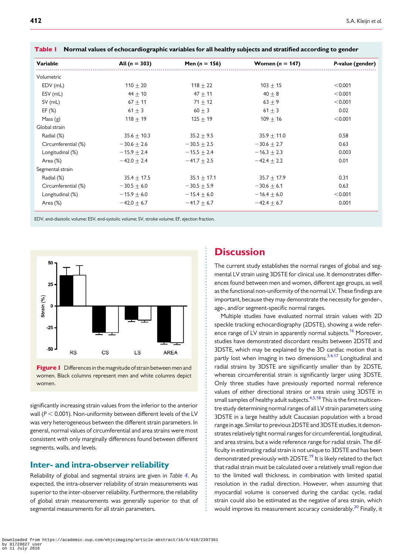| Variable            | All $(n = 303)$ | Men $(n = 156)$ | Women ( $n = 147$ ) | P-value (gender) |
|---------------------|-----------------|-----------------|---------------------|------------------|
| Volumetric          |                 |                 |                     |                  |
| EDV (mL)            | $110 \pm 20$    | $118 + 22$      | $103 + 15$          | < 0.001          |
| ESV (mL)            | $44 \pm 10$     | $47 + 11$       | $40 + 8$            | < 0.001          |
| $SV$ (mL)           | $67 + 11$       | $71 \pm 12$     | $63 \pm 9$          | < 0.001          |
| EF(%)               | 61 $\pm$ 3      | $60 + 3$        | $61 + 3$            | 0.02             |
| Mass $(g)$          | $118 + 19$      | $125 + 19$      | $109 \pm 16$        | < 0.001          |
| Global strain       |                 |                 |                     |                  |
| Radial (%)          | $35.6 \pm 10.3$ | $35.2 \pm 9.5$  | $35.9 + 11.0$       | 0.58             |
| Circumferential (%) | $-30.6 \pm 2.6$ | $-30.5 + 2.5$   | $-30.6 + 2.7$       | 0.63             |
| Longitudinal (%)    | $-15.9 + 2.4$   | $-15.5 + 2.4$   | $-16.3 + 2.3$       | 0.003            |
| Area (%)            | $-42.0 + 2.4$   | $-41.7 + 2.5$   | $-42.4 + 2.2$       | 0.01             |
| Segmental strain    |                 |                 |                     |                  |
| Radial (%)          | $35.4 + 17.5$   | $35.1 + 17.1$   | $35.7 + 17.9$       | 0.31             |
| Circumferential (%) | $-30.5 + 6.0$   | $-30.5 + 5.9$   | $-30.6 + 6.1$       | 0.63             |
| Longitudinal (%)    | $-15.9 + 6.0$   | $-15.4 + 6.0$   | $-16.4 + 6.0$       | < 0.001          |
| Area $(\%)$         | $-42.0 + 6.7$   | $-41.7 + 6.7$   | $-42.4 + 6.7$       | 0.001            |

<span id="page-2-0"></span>

|  |  | Table I Normal values of echocardiographic variables for all healthy subjects and stratified according to gender |
|--|--|------------------------------------------------------------------------------------------------------------------|
|  |  |                                                                                                                  |





significantly increasing strain values from the inferior to the anterior wall ( $P < 0.001$ ). Non-uniformity between different levels of the LV was very heterogeneous between the different strain parameters. In general, normal values of circumferential and area strains were most consistent with only marginally differences found between different segments, walls, and levels.

#### Inter- and intra-observer reliability

Reliability of global and segmental strains are given in Table [4](#page-5-0). As expected, the intra-observer reliability of strain measurements was superior to the inter-observer reliability. Furthermore, the reliability of global strain measurements was generally superior to that of segmental measurements for all strain parameters.

## **Discussion**

The current study establishes the normal ranges of global and segmental LV strain using 3DSTE for clinical use. It demonstrates differences found between men and women, different age groups, as well as the functional non-uniformity of the normal LV. These findings are important, because they may demonstrate the necessity for gender-, age-, and/or segment-specific normal ranges.

Multiple studies have evaluated normal strain values with 2D speckle tracking echocardiography (2DSTE), showing a wide reference range of LV strain in apparently normal subjects.<sup>16</sup> Moreover, studies have demonstrated discordant results between 2DSTE and 3DSTE, which may be explained by the 3D cardiac motion that is partly lost when imaging in two dimensions.<sup>3,4,[17](#page-6-0)</sup> Longitudinal and radial strains by 3DSTE are significantly smaller than by 2DSTE, whereas circumferential strain is significantly larger using 3DSTE. Only three studies have previously reported normal reference values of either directional strains or area strain using 3DSTE in small samples of healthy adult subjects.<sup>4,5,[18](#page-6-0)</sup> This is the first multicentre study determining normal ranges of all LV strain parameters using 3DSTE in a large healthy adult Caucasian population with a broad range in age. Similar to previous 2DSTE and 3DSTE studies, it demonstrates relatively tight normal ranges for circumferential, longitudinal, and area strains, but a wide reference range for radial strain. The difficulty in estimating radial strain is not unique to 3DSTE and has been demonstrated previously with 2DSTE.<sup>19</sup> It is likely related to the fact that radial strain must be calculated over a relatively small region due to the limited wall thickness, in combination with limited spatial resolution in the radial direction. However, when assuming that myocardial volume is conserved during the cardiac cycle, radial strain could also be estimated as the negative of area strain, which would improve its measurement accuracy considerably.<sup>[20](#page-6-0)</sup> Finally, it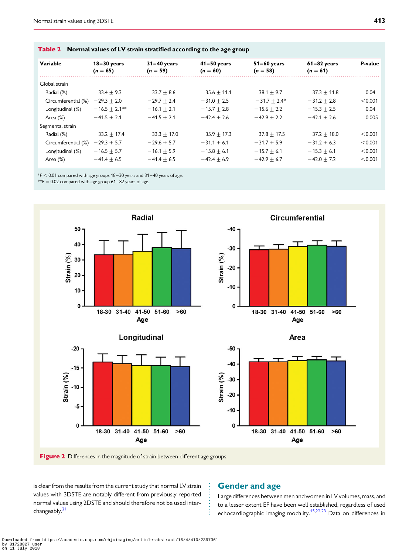<span id="page-3-0"></span>

| Variable            | $18-30$ years<br>$(n = 65)$ | $31-40$ years<br>$(n = 59)$ | $41 - 50$ years<br>$(n = 60)$ | $51-60$ years<br>$(n = 58)$ | $61-82$ years<br>$(n = 61)$ | P-value |
|---------------------|-----------------------------|-----------------------------|-------------------------------|-----------------------------|-----------------------------|---------|
| Global strain       |                             |                             |                               |                             |                             |         |
| Radial (%)          | $33.4 + 9.3$                | $33.7 + 8.6$                | $35.6 + 11.1$                 | $38.1 + 9.7$                | $37.3 + 11.8$               | 0.04    |
| Circumferential (%) | $-29.3 + 2.0$               | $-29.7 + 2.4$               | $-31.0 + 2.5$                 | $-31.7 + 2.4*$              | $-31.2 + 2.8$               | < 0.001 |
| Longitudinal (%)    | $-16.5 + 2.1***$            | $-16.1 + 2.1$               | $-15.7 + 2.8$                 | $-15.6 + 2.2$               | $-15.3 + 2.5$               | 0.04    |
| Area (%)            | $-41.5 + 2.1$               | $-41.5 + 2.1$               | $-42.4 + 2.6$                 | $-42.9 + 2.2$               | $-42.1 + 2.6$               | 0.005   |
| Segmental strain    |                             |                             |                               |                             |                             |         |
| Radial (%)          | $33.2 + 17.4$               | $33.3 + 17.0$               | $35.9 + 17.3$                 | $37.8 + 17.5$               | $37.2 + 18.0$               | < 0.001 |
| Circumferential (%) | $-29.3 + 5.7$               | $-29.6 + 5.7$               | $-31.1 + 6.1$                 | $-31.7 + 5.9$               | $-31.2 + 6.3$               | < 0.001 |
| Longitudinal (%)    | $-16.5 + 5.7$               | $-16.1 + 5.9$               | $-15.8 + 6.1$                 | $-15.7 + 6.1$               | $-15.3 + 6.1$               | < 0.001 |
| Area (%)            | $-41.4 + 6.5$               | $-41.4 + 6.5$               | $-42.4 + 6.9$                 | $-42.9 + 6.7$               | $-42.0 + 7.2$               | < 0.001 |

 $*P < 0.01$  compared with age groups 18–30 years and 31–40 years of age.

 $* p = 0.02$  compared with age group 61–82 years of age.









Figure 2 Differences in the magnitude of strain between different age groups.

is clear from the results from the current study that normal LV strain values with 3DSTE are notably different from previously reported normal values using 2DSTE and should therefore not be used inter-changeably.<sup>[21](#page-6-0)</sup>

#### Gender and age

Large differences between men and women in LV volumes, mass, and to a lesser extent EF have been well established, regardless of used echocardiographic imaging modality.<sup>[15,22,23](#page-6-0)</sup> Data on differences in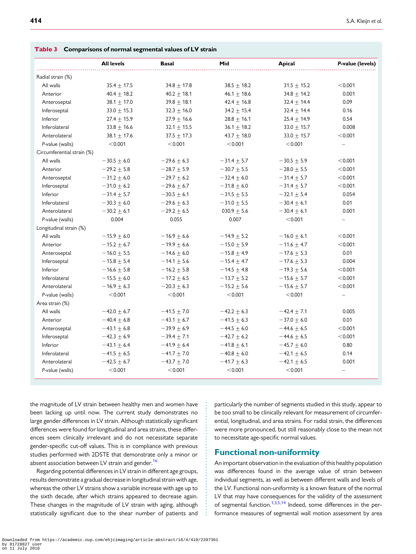|                            | $\cdots$          |                 |                 |                 |                  |
|----------------------------|-------------------|-----------------|-----------------|-----------------|------------------|
|                            | <b>All levels</b> | <b>Basal</b>    | Mid             | Apical          | P-value (levels) |
| Radial strain (%)          |                   |                 |                 |                 |                  |
| All walls                  | $35.4 \pm 17.5$   | $34.8 \pm 17.8$ | $38.5 + 18.2$   | $31.5 \pm 15.2$ | < 0.001          |
| Anterior                   | $40.4 \pm 18.2$   | $40.2 + 18.1$   | $46.1 \pm 18.6$ | $34.8 \pm 14.2$ | 0.001            |
| Anteroseptal               | $38.1 + 17.0$     | $39.8 \pm 18.1$ | $42.4 + 16.8$   | $32.4 \pm 14.4$ | 0.09             |
| Inferoseptal               | $33.0 + 15.3$     | $32.3 \pm 16.0$ | $34.2 + 15.4$   | $32.4 \pm 14.4$ | 0.16             |
| Inferior                   | $27.4 \pm 15.9$   | $27.9 \pm 16.6$ | $28.8 \pm 16.1$ | $25.4 \pm 14.9$ | 0.54             |
| Inferolateral              | $33.8 \pm 16.6$   | $32.1 \pm 15.5$ | $36.1 \pm 18.2$ | $33.0 \pm 15.7$ | 0.008            |
| Anterolateral              | 38.1 $\pm$ 17.6   | $37.5 \pm 17.3$ | $43.7 \pm 18.0$ | $33.0 + 15.7$   | < 0.001          |
| P-value (walls)            | < 0.001           | < 0.001         | < 0.001         | < 0.001         |                  |
| Circumferential strain (%) |                   |                 |                 |                 |                  |
| All walls                  | $-30.5 \pm 6.0$   | $-29.6 \pm 6.3$ | $-31.4 \pm 5.7$ | $-30.5 \pm 5.9$ | < 0.001          |
| Anterior                   | $-29.2 \pm 5.8$   | $-28.7 + 5.9$   | $-30.7 + 5.5$   | $-28.0 \pm 5.5$ | < 0.001          |
| Anteroseptal               | $-31.2 \pm 6.0$   | $-29.7 \pm 6.2$ | $-32.4 \pm 6.0$ | $-31.4 \pm 5.7$ | < 0.001          |
| Inferoseptal               | $-31.0 \pm 6.2$   | $-29.6 \pm 6.7$ | $-31.8 \pm 6.0$ | $-31.4 \pm 5.7$ | < 0.001          |
| Inferior                   | $-31.4 \pm 5.7$   | $-30.5 \pm 6.1$ | $-31.5 \pm 5.5$ | $-32.1 \pm 5.4$ | 0.054            |
| Inferolateral              | $-30.3 \pm 6.0$   | $-29.6 \pm 6.3$ | $-31.0 \pm 5.5$ | $-30.4 \pm 6.1$ | 0.01             |
| Anterolateral              | $-30.2 \pm 6.1$   | $-29.2 \pm 6.5$ | 030.9 $\pm$ 5.6 | $-30.4 \pm 6.1$ | 0.001            |
| P-value (walls)            | 0.004             | 0.055           | 0.007           | < 0.001         |                  |
| Longitudinal strain (%)    |                   |                 |                 |                 |                  |
| All walls                  | $-15.9 \pm 6.0$   | $-16.9 \pm 6.6$ | $-14.9 \pm 5.2$ | $-16.0 \pm 6.1$ | < 0.001          |
| Anterior                   | $-15.2 \pm 6.7$   | $-19.9 \pm 6.6$ | $-15.0 \pm 5.9$ | $-11.6 \pm 4.7$ | < 0.001          |
| Anteroseptal               | $-16.0 + 5.5$     | $-14.6 + 6.0$   | $-15.8 + 4.9$   | $-17.6 + 5.3$   | 0.01             |
| Inferoseptal               | $-15.8 \pm 5.4$   | $-14.1 \pm 5.6$ | $-15.4 \pm 4.7$ | $-17.6 \pm 5.3$ | 0.004            |
| Inferior                   | $-16.6 \pm 5.8$   | $-16.2 \pm 5.8$ | $-14.5 \pm 4.8$ | $-19.3 \pm 5.6$ | < 0.001          |
| Inferolateral              | $-15.5 + 6.0$     | $-17.2 + 6.5$   | $-13.7 + 5.2$   | $-15.6 + 5.7$   | < 0.001          |
| Anterolateral              | $-16.9 \pm 6.3$   | $-20.3 \pm 6.3$ | $-15.2 \pm 5.6$ | $-15.6 \pm 5.7$ | < 0.001          |
| P-value (walls)            | < 0.001           | < 0.001         | < 0.001         | < 0.001         |                  |
| Area strain (%)            |                   |                 |                 |                 |                  |
| All walls                  | $-42.0 \pm 6.7$   | $-41.5 \pm 7.0$ | $-42.2 \pm 6.3$ | $-42.4 + 7.1$   | 0.005            |
| Anterior                   | $-40.4 \pm 6.8$   | $-43.1 \pm 6.7$ | $-41.5 \pm 6.3$ | $-37.0 \pm 6.0$ | 0.01             |
| Anteroseptal               | $-43.1 + 6.8$     | $-39.9 + 6.9$   | $-44.5 + 6.0$   | $-44.6 + 6.5$   | < 0.001          |
| Inferoseptal               | $-42.3 \pm 6.9$   | $-39.4 \pm 7.1$ | $-42.7 \pm 6.2$ | $-44.6 \pm 6.5$ | < 0.001          |
| Inferior                   | $-43.1 \pm 6.4$   | $-41.9 \pm 6.4$ | $-41.8 \pm 6.1$ | $-45.7 \pm 6.0$ | 0.80             |
| Inferolateral              | $-41.5 + 6.5$     | $-41.7 + 7.0$   | $-40.8 + 6.0$   | $-42.1 + 6.5$   | 0.14             |
| Anterolateral              | $-42.5 \pm 6.7$   | $-43.7 \pm 7.0$ | $-41.7 \pm 6.3$ | $-42.1 \pm 6.5$ | 0.001            |
| P-value (walls)            | < 0.001           | < 0.001         | < 0.001         | < 0.001         |                  |

<span id="page-4-0"></span>Table 3 Comparisons of normal segmental values of LV strain

the magnitude of LV strain between healthy men and women have been lacking up until now. The current study demonstrates no large gender differences in LV strain. Although statistically significant differences were found for longitudinal and area strains, these differences seem clinically irrelevant and do not necessitate separate gender-specific cut-off values. This is in compliance with previous studies performed with 2DSTE that demonstrate only a minor or absent association between LV strain and gender.<sup>[16](#page-6-0)</sup>

Regarding potential differences in LV strain in different age groups, results demonstrate a gradual decrease in longitudinal strain with age, whereas the other LV strains show a variable increase with age up to the sixth decade, after which strains appeared to decrease again. These changes in the magnitude of LV strain with aging, although statistically significant due to the shear number of patients and particularly the number of segments studied in this study, appear to be too small to be clinically relevant for measurement of circumferential, longitudinal, and area strains. For radial strain, the differences were more pronounced, but still reasonably close to the mean not to necessitate age-specific normal values.

#### Functional non-uniformity

An important observation in the evaluation of this healthy population was differences found in the average value of strain between individual segments, as well as between different walls and levels of the LV. Functional non-uniformity is a known feature of the normal LV that may have consequences for the validity of the assessment of segmental function.<sup>1,3,[5](#page-5-0),[14](#page-6-0)</sup> Indeed, some differences in the performance measures of segmental wall motion assessment by area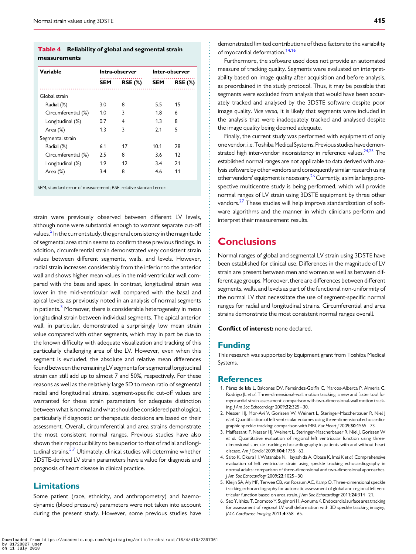#### <span id="page-5-0"></span>Table 4 Reliability of global and segmental strain measurements

| Variable            | Intra-observer |        | Inter-observer |                |
|---------------------|----------------|--------|----------------|----------------|
|                     | SEM            | RSE(%) | <b>SEM</b>     | <b>RSE (%)</b> |
| Global strain       |                |        |                |                |
| Radial (%)          | 3.0            | 8      | 5.5            | 15             |
| Circumferential (%) | 1.0            | 3      | 1.8            | 6              |
| Longitudinal (%)    | 0.7            | 4      | 1.3            | 8              |
| Area (%)            | 1.3            | 3      | 2.1            | 5              |
| Segmental strain    |                |        |                |                |
| Radial (%)          | 6.1            | 17     | 10.1           | 28             |
| Circumferential (%) | 2.5            | 8      | 3.6            | 12             |
| Longitudinal (%)    | 1.9            | 12     | 3.4            | 21             |
| Area (%)            | 3.4            | 8      | 4.6            | 11             |

SEM, standard error of measurement; RSE, relative standard error.

strain were previously observed between different LV levels, although none were substantial enough to warrant separate cut-off values.<sup>5</sup> In the current study, the general consistency in the magnitude of segmental area strain seems to confirm these previous findings. In addition, circumferential strain demonstrated very consistent strain values between different segments, walls, and levels. However, radial strain increases considerably from the inferior to the anterior wall and shows higher mean values in the mid-ventricular wall compared with the base and apex. In contrast, longitudinal strain was lower in the mid-ventricular wall compared with the basal and apical levels, as previously noted in an analysis of normal segments in patients. $3$  Moreover, there is considerable heterogeneity in mean longitudinal strain between individual segments. The apical anterior wall, in particular, demonstrated a surprisingly low mean strain value compared with other segments, which may in part be due to the known difficulty with adequate visualization and tracking of this particularly challenging area of the LV. However, even when this segment is excluded, the absolute and relative mean differences found between the remaining LV segments for segmental longitudinal strain can still add up to almost 7 and 50%, respectively. For these reasons as well as the relatively large SD to mean ratio of segmental radial and longitudinal strains, segment-specific cut-off values are warranted for these strain parameters for adequate distinction between what is normal and what should be considered pathological, particularly if diagnostic or therapeutic decisions are based on their assessment. Overall, circumferential and area strains demonstrate the most consistent normal ranges. Previous studies have also shown their reproducibility to be superior to that of radial and longi-tudinal strains.<sup>5[,7](#page-6-0)</sup> Ultimately, clinical studies will determine whether 3DSTE-derived LV strain parameters have a value for diagnosis and prognosis of heart disease in clinical practice.

## Limitations

Some patient (race, ethnicity, and anthropometry) and haemodynamic (blood pressure) parameters were not taken into account during the present study. However, some previous studies have demonstrated limited contributions of these factors to the variability of myocardial deformation.<sup>[14](#page-6-0),[16](#page-6-0)</sup>

Furthermore, the software used does not provide an automated measure of tracking quality. Segments were evaluated on interpretability based on image quality after acquisition and before analysis, as preordained in the study protocol. Thus, it may be possible that segments were excluded from analysis that would have been accurately tracked and analysed by the 3DSTE software despite poor image quality. Vice versa, it is likely that segments were included in the analysis that were inadequately tracked and analysed despite the image quality being deemed adequate.

Finally, the current study was performed with equipment of only one vendor, i.e. Toshiba Medical Systems. Previous studies have demonstrated high inter-vendor inconsistency in reference values.<sup>24,25</sup> The established normal ranges are not applicable to data derived with analysis software by other vendors and consequently similar research using other vendors' equipment is necessary.<sup>26</sup> Currently, a similar large prospective multicentre study is being performed, which will provide normal ranges of LV strain using 3DSTE equipment by three other vendors.<sup>[27](#page-6-0)</sup> These studies will help improve standardization of software algorithms and the manner in which clinicians perform and interpret their measurement results.

# **Conclusions**

Normal ranges of global and segmental LV strain using 3DSTE have been established for clinical use. Differences in the magnitude of LV strain are present between men and women as well as between different age groups. Moreover, there are differences between different segments, walls, and levels as part of the functional non-uniformity of the normal LV that necessitate the use of segment-specific normal ranges for radial and longitudinal strains. Circumferential and area strains demonstrate the most consistent normal ranges overall.

Conflict of interest: none declared.

## Funding

This research was supported by Equipment grant from Toshiba Medical Systems.

#### **References**

- 1. Pérez de Isla L, Balcones DV, Fernández-Golfín C, Marcos-Alberca P, Almería C, Rodrigo JL et al. Three-dimensional-wall motion tracking: a new and faster tool for myocardial strain assessment: comparison with two-dimensional-wall motion tracking. J Am Soc Echocardiogr 2009;22:325–30.
- 2. Nesser HJ, Mor-Avi V, Gorissen W, Weinert L, Steringer-Mascherbauer R, Niel J et al. Quantification of left ventricular volumes using three-dimensional echocardiographic speckle tracking: comparison with MRI. Eur Heart J 2009;30:1565-73.
- 3. Maffessanti F, Nesser HJ, Weinert L, Steringer-Mascherbauer R, Niel J, Gorissen W et al. Quantitative evaluation of regional left ventricular function using threedimensional speckle tracking echocardiography in patients with and without heart disease. Am | Cardiol 2009;104:1755-62.
- 4. Saito K, Okura H, Watanabe N, Hayashida A, Obase K, Imai K et al. Comprehensive evaluation of left ventricular strain using speckle tracking echocardiography in normal adults: comparison of three-dimensional and two-dimensional approaches. J Am Soc Echocardiogr 2009;22:1025–30.
- 5. Kleijn SA, Aly MF, Terwee CB, van Rossum AC, Kamp O. Three-dimensional speckle tracking echocardiography for automatic assessment of global and regional left ventricular function based on area strain. J Am Soc Echocardiogr 2011;24:314–21.
- 6. Seo Y, Ishizu T, Enomoto Y, Sugimori H, Aonuma K. Endocardial surface areatracking for assessment of regional LV wall deformation with 3D speckle tracking imaging. JACC Cardiovasc Imaging 2011;4:358–65.